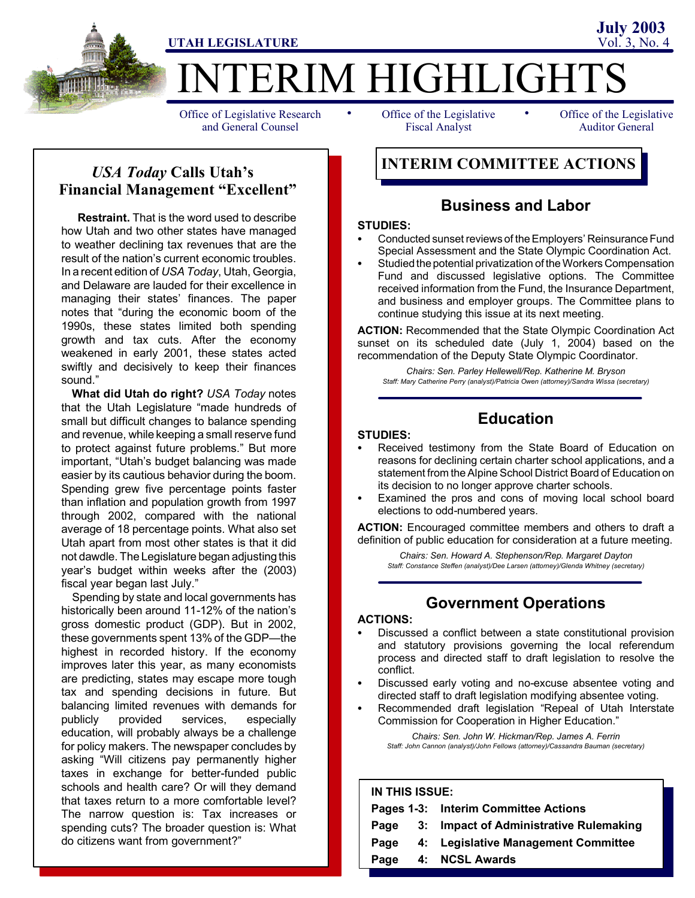

## *USA Today* **Calls Utah's Financial Management "Excellent"**

**Restraint.** That is the word used to describe how Utah and two other states have managed to weather declining tax revenues that are the result of the nation's current economic troubles. In a recent edition of *USA Today*, Utah, Georgia, and Delaware are lauded for their excellence in managing their states' finances. The paper notes that "during the economic boom of the 1990s, these states limited both spending growth and tax cuts. After the economy weakened in early 2001, these states acted swiftly and decisively to keep their finances sound."

**What did Utah do right?** *USA Today* notes that the Utah Legislature "made hundreds of small but difficult changes to balance spending and revenue, while keeping a small reserve fund to protect against future problems." But more important, "Utah's budget balancing was made easier by its cautious behavior during the boom. Spending grew five percentage points faster than inflation and population growth from 1997 through 2002, compared with the national average of 18 percentage points. What also set Utah apart from most other states is that it did not dawdle. The Legislature began adjustingthis year's budget within weeks after the (2003) fiscal year began last July."

Spending by state and local governments has historically been around 11-12% of the nation's gross domestic product (GDP). But in 2002, these governments spent 13% of the GDP—the highest in recorded history. If the economy improves later this year, as many economists are predicting, states may escape more tough tax and spending decisions in future. But balancing limited revenues with demands for publicly provided services, especially education, will probably always be a challenge for policy makers. The newspaper concludes by asking "Will citizens pay permanently higher taxes in exchange for better-funded public schools and health care? Or will they demand that taxes return to a more comfortable level? The narrow question is: Tax increases or spending cuts? The broader question is: What do citizens want from government?"

Fiscal Analyst

Office of the Legislative Auditor General

# **INTERIM COMMITTEE ACTIONS**

## **Business and Labor**

#### **STUDIES:**

- Conducted sunset reviews of the Employers' Reinsurance Fund Special Assessment and the State Olympic Coordination Act.
- Studied the potential privatization of the Workers Compensation Fund and discussed legislative options. The Committee received information from the Fund, the Insurance Department, and business and employer groups. The Committee plans to continue studying this issue at its next meeting.

**ACTION:** Recommended that the State Olympic Coordination Act sunset on its scheduled date (July 1, 2004) based on the recommendation of the Deputy State Olympic Coordinator.

*Chairs: Sen. Parley Hellewell/Rep. Katherine M. Bryson Staff: Mary Catherine Perry (analyst)/Patricia Owen (attorney)/Sandra Wissa (secretary)*

# **Education**

## **STUDIES:**

- Received testimony from the State Board of Education on reasons for declining certain charter school applications, and a statement from the Alpine School District Board of Education on its decision to no longer approve charter schools.
- Examined the pros and cons of moving local school board elections to odd-numbered years.

**ACTION:** Encouraged committee members and others to draft a definition of public education for consideration at a future meeting.

*Chairs: Sen. Howard A. Stephenson/Rep. Margaret Dayton Staff: Constance Steffen (analyst)/Dee Larsen (attorney)/Glenda Whitney (secretary)*

## **Government Operations**

#### **ACTIONS:**

- Discussed a conflict between a state constitutional provision and statutory provisions governing the local referendum process and directed staff to draft legislation to resolve the conflict.
- Discussed early voting and no-excuse absentee voting and directed staff to draft legislation modifying absentee voting.
	- Recommended draft legislation "Repeal of Utah Interstate Commission for Cooperation in Higher Education."

*Chairs: Sen. John W. Hickman/Rep. James A. Ferrin Staff: John Cannon (analyst)/John Fellows (attorney)/Cassandra Bauman (secretary)*

## **IN THIS ISSUE:**

|      |  | Pages 1-3: Interim Committee Actions   |  |  |
|------|--|----------------------------------------|--|--|
| Page |  | 3: Impact of Administrative Rulemaking |  |  |
| Page |  | 4: Legislative Management Committee    |  |  |
| Page |  | 4: NCSL Awards                         |  |  |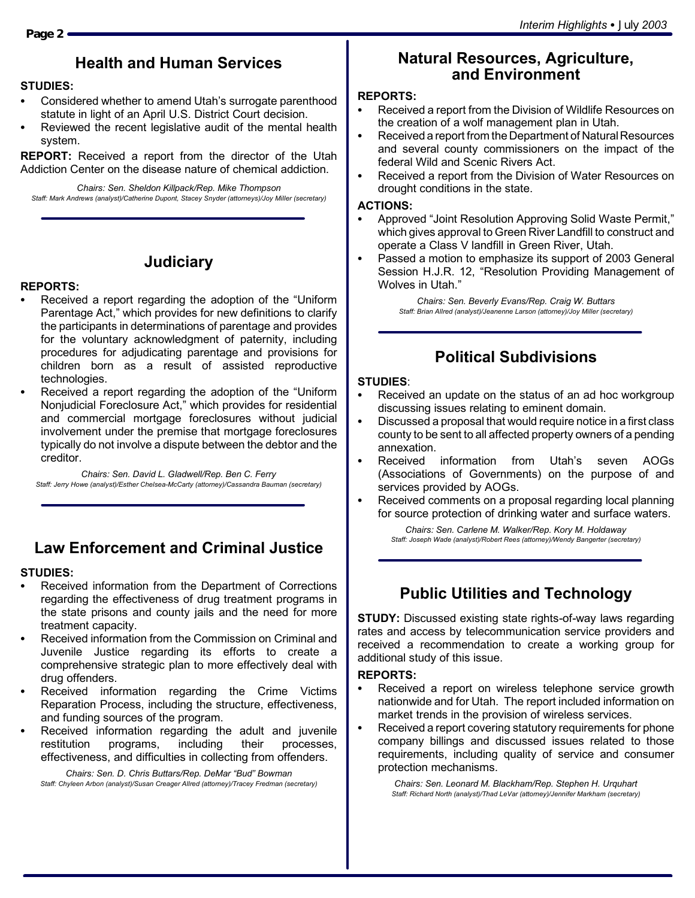## **Health and Human Services**

#### **STUDIES:**

- Considered whether to amend Utah's surrogate parenthood statute in light of an April U.S. District Court decision.
- Reviewed the recent legislative audit of the mental health system.

**REPORT:** Received a report from the director of the Utah Addiction Center on the disease nature of chemical addiction.

*Chairs: Sen. Sheldon Killpack/Rep. Mike Thompson Staff: Mark Andrews (analyst)/Catherine Dupont, Stacey Snyder (attorneys)/Joy Miller (secretary)*

## **Judiciary**

## **REPORTS:**

- Received a report regarding the adoption of the "Uniform Parentage Act," which provides for new definitions to clarify the participants in determinations of parentage and provides for the voluntary acknowledgment of paternity, including procedures for adjudicating parentage and provisions for children born as a result of assisted reproductive technologies.
- Received a report regarding the adoption of the "Uniform" Nonjudicial Foreclosure Act," which provides for residential and commercial mortgage foreclosures without judicial involvement under the premise that mortgage foreclosures typically do not involve a dispute between the debtor and the creditor.

*Chairs: Sen. David L. Gladwell/Rep. Ben C. Ferry Staff: Jerry Howe (analyst)/Esther Chelsea-McCarty (attorney)/Cassandra Bauman (secretary)*

## **Law Enforcement and Criminal Justice**

#### **STUDIES:**

- Received information from the Department of Corrections regarding the effectiveness of drug treatment programs in the state prisons and county jails and the need for more treatment capacity.
- Received information from the Commission on Criminal and Juvenile Justice regarding its efforts to create a comprehensive strategic plan to more effectively deal with drug offenders.
- Received information regarding the Crime Victims Reparation Process, including the structure, effectiveness, and funding sources of the program.
- Received information regarding the adult and juvenile restitution programs, including their processes, effectiveness, and difficulties in collecting from offenders.

*Chairs: Sen. D. Chris Buttars/Rep. DeMar "Bud" Bowman Staff: Chyleen Arbon (analyst)/Susan Creager Allred (attorney)/Tracey Fredman (secretary)*

## **Natural Resources, Agriculture, and Environment**

## **REPORTS:**

- Received a report from the Division of Wildlife Resources on the creation of a wolf management plan in Utah.
- Received a report from the Department of Natural Resources and several county commissioners on the impact of the federal Wild and Scenic Rivers Act.
- Received a report from the Division of Water Resources on drought conditions in the state.

#### **ACTIONS:**

- Approved "Joint Resolution Approving Solid Waste Permit," which gives approval to Green River Landfill to construct and operate a Class V landfill in Green River, Utah.
- Passed a motion to emphasize its support of 2003 General Session H.J.R. 12, "Resolution Providing Management of Wolves in Utah."

*Chairs: Sen. Beverly Evans/Rep. Craig W. Buttars Staff: Brian Allred (analyst)/Jeanenne Larson (attorney)/Joy Miller (secretary)*

## **Political Subdivisions**

#### **STUDIES**:

- Received an update on the status of an ad hoc workgroup discussing issues relating to eminent domain.
- Discussed a proposal that would require notice in a first class county to be sent to all affected property owners of a pending annexation.
- Received information from Utah's seven AOGs (Associations of Governments) on the purpose of and services provided by AOGs.
- Received comments on a proposal regarding local planning for source protection of drinking water and surface waters.

*Chairs: Sen. Carlene M. Walker/Rep. Kory M. Holdaway Staff: Joseph Wade (analyst)/Robert Rees (attorney)/Wendy Bangerter (secretary)*

## **Public Utilities and Technology**

**STUDY:** Discussed existing state rights-of-way laws regarding rates and access by telecommunication service providers and received a recommendation to create a working group for additional study of this issue.

## **REPORTS:**

- Received a report on wireless telephone service growth nationwide and for Utah. The report included information on market trends in the provision of wireless services.
- Received a report covering statutory requirements for phone company billings and discussed issues related to those requirements, including quality of service and consumer protection mechanisms.

*Chairs: Sen. Leonard M. Blackham/Rep. Stephen H. Urquhart Staff: Richard North (analyst)/Thad LeVar (attorney)/Jennifer Markham (secretary)*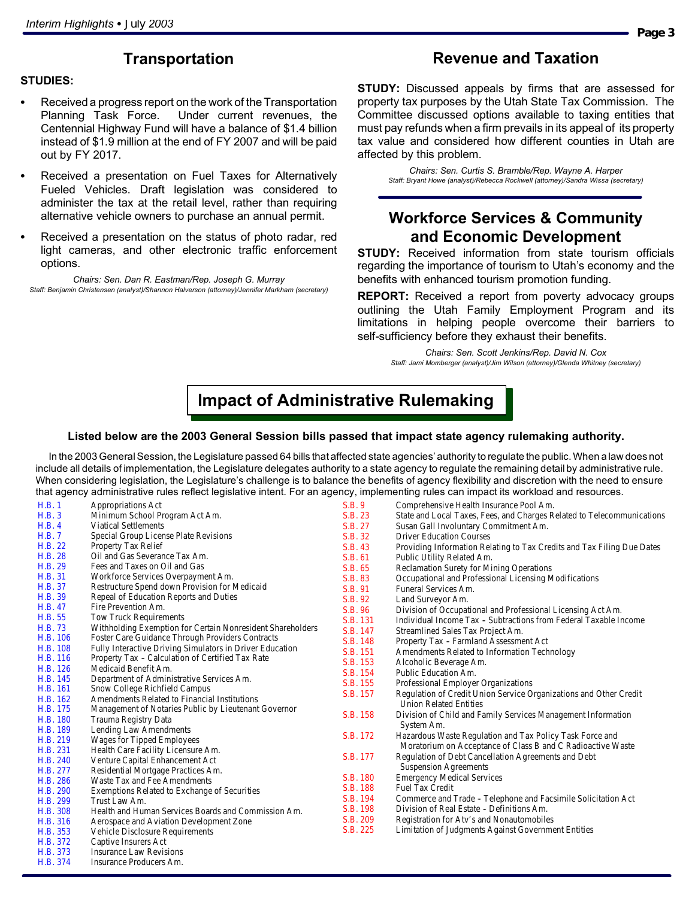## **Transportation**

## **STUDIES:**

- Received a progress report on the work of the Transportation Planning Task Force. Under current revenues, the Centennial Highway Fund will have a balance of \$1.4 billion instead of \$1.9 million at the end of FY 2007 and will be paid out by FY 2017.
- Received a presentation on Fuel Taxes for Alternatively Fueled Vehicles. Draft legislation was considered to administer the tax at the retail level, rather than requiring alternative vehicle owners to purchase an annual permit.
- Received a presentation on the status of photo radar, red light cameras, and other electronic traffic enforcement options.

*Chairs: Sen. Dan R. Eastman/Rep. Joseph G. Murray Staff: Benjamin Christensen (analyst)/Shannon Halverson (attorney)/Jennifer Markham (secretary)*

## **Revenue and Taxation**

**STUDY:** Discussed appeals by firms that are assessed for property tax purposes by the Utah State Tax Commission. The Committee discussed options available to taxing entities that must pay refunds when a firm prevails in its appeal of its property tax value and considered how different counties in Utah are affected by this problem.

*Chairs: Sen. Curtis S. Bramble/Rep. Wayne A. Harper Staff: Bryant Howe (analyst)/Rebecca Rockwell (attorney)/Sandra Wissa (secretary)*

## **Workforce Services & Community and Economic Development**

**STUDY:** Received information from state tourism officials regarding the importance of tourism to Utah's economy and the benefits with enhanced tourism promotion funding.

**REPORT:** Received a report from poverty advocacy groups outlining the Utah Family Employment Program and its limitations in helping people overcome their barriers to self-sufficiency before they exhaust their benefits.

> *Chairs: Sen. Scott Jenkins/Rep. David N. Cox Staff: Jami Momberger (analyst)/Jim Wilson (attorney)/Glenda Whitney (secretary)*

# **Impact of Administrative Rulemaking**

#### **Listed below are the 2003 General Session bills passed that impact state agency rulemaking authority.**

In the 2003 General Session, the Legislature passed 64 bills that affected state agencies' authority to regulate the public.When a law does not include all details of implementation, the Legislature delegates authority to a state agency to regulate the remaining detail by administrative rule. When considering legislation, the Legislature's challenge is to balance the benefits of agency flexibility and discretion with the need to ensure that agency administrative rules reflect legislative intent. For an agency, implementing rules can impact its workload and resources.

| H.B.1           | <b>Appropriations Act</b>                                         | <b>S.B. 9</b>   | Comprehensive Health Insurance Pool Am.                                 |
|-----------------|-------------------------------------------------------------------|-----------------|-------------------------------------------------------------------------|
| <b>H.B. 3</b>   | Minimum School Program Act Am.                                    | S.B. 23         | State and Local Taxes, Fees, and Charges Related to Telecommunications  |
| <b>H.B. 4</b>   | <b>Viatical Settlements</b>                                       | S.B. 27         | <b>Susan Gall Involuntary Commitment Am.</b>                            |
| <b>H.B.7</b>    | <b>Special Group License Plate Revisions</b>                      | S.B. 32         | <b>Driver Education Courses</b>                                         |
| <b>H.B. 22</b>  | <b>Property Tax Relief</b>                                        | S.B. 43         | Providing Information Relating to Tax Credits and Tax Filing Due Dates  |
| <b>H.B. 28</b>  | Oil and Gas Severance Tax Am.                                     | S.B. 61         | <b>Public Utility Related Am.</b>                                       |
| H.B. 29         | <b>Fees and Taxes on Oil and Gas</b>                              | S.B. 65         | <b>Reclamation Surety for Mining Operations</b>                         |
| <b>H.B. 31</b>  | <b>Workforce Services Overpayment Am.</b>                         | S.B. 83         | <b>Occupational and Professional Licensing Modifications</b>            |
| <b>H.B. 37</b>  | <b>Restructure Spend down Provision for Medicaid</b>              | S.B. 91         | <b>Funeral Services Am.</b>                                             |
| <b>H.B. 39</b>  | <b>Repeal of Education Reports and Duties</b>                     | <b>S.B. 92</b>  | <b>Land Surveyor Am.</b>                                                |
| <b>H.B. 47</b>  | <b>Fire Prevention Am.</b>                                        | <b>S.B. 96</b>  | Division of Occupational and Professional Licensing Act Am.             |
| <b>H.B. 55</b>  | <b>Tow Truck Requirements</b>                                     | <b>S.B. 131</b> | <b>Individual Income Tax - Subtractions from Federal Taxable Income</b> |
| <b>H.B. 73</b>  | <b>Withholding Exemption for Certain Nonresident Shareholders</b> | S.B. 147        | <b>Streamlined Sales Tax Project Am.</b>                                |
| <b>H.B. 106</b> | <b>Foster Care Guidance Through Providers Contracts</b>           | S.B. 148        | <b>Property Tax - Farmland Assessment Act</b>                           |
| <b>H.B. 108</b> | <b>Fully Interactive Driving Simulators in Driver Education</b>   | <b>S.B. 151</b> | <b>Amendments Related to Information Technology</b>                     |
| <b>H.B. 116</b> | Property Tax - Calculation of Certified Tax Rate                  | S.B. 153        | Alcoholic Beverage Am.                                                  |
| H.B. 126        | <b>Medicaid Benefit Am.</b>                                       | S.B. 154        | <b>Public Education Am.</b>                                             |
| <b>H.B. 145</b> | Department of Administrative Services Am.                         | S.B. 155        | <b>Professional Employer Organizations</b>                              |
| H.B. 161        | <b>Snow College Richfield Campus</b>                              | S.B. 157        | Regulation of Credit Union Service Organizations and Other Credit       |
| H.B. 162        | <b>Amendments Related to Financial Institutions</b>               |                 | <b>Union Related Entities</b>                                           |
| H.B. 175        | <b>Management of Notaries Public by Lieutenant Governor</b>       | S.B. 158        | Division of Child and Family Services Management Information            |
| <b>H.B. 180</b> | <b>Trauma Registry Data</b>                                       |                 | System Am.                                                              |
| H.B. 189        | <b>Lending Law Amendments</b>                                     | S.B. 172        | Hazardous Waste Regulation and Tax Policy Task Force and                |
| H.B. 219        | <b>Wages for Tipped Employees</b>                                 |                 | Moratorium on Acceptance of Class B and C Radioactive Waste             |
| H.B. 231        | Health Care Facility Licensure Am.                                | S.B. 177        | Regulation of Debt Cancellation Agreements and Debt                     |
| <b>H.B. 240</b> | <b>Venture Capital Enhancement Act</b>                            |                 | <b>Suspension Agreements</b>                                            |
| H.B. 277        | <b>Residential Mortgage Practices Am.</b>                         | <b>S.B. 180</b> | <b>Emergency Medical Services</b>                                       |
| H.B. 286        | <b>Waste Tax and Fee Amendments</b>                               | S.B. 188        | <b>Fuel Tax Credit</b>                                                  |
| H.B. 290        | <b>Exemptions Related to Exchange of Securities</b>               | S.B. 194        | <b>Commerce and Trade - Telephone and Facsimile Solicitation Act</b>    |
| H.B. 299        | Trust Law Am.                                                     | S.B. 198        | Division of Real Estate - Definitions Am.                               |
| <b>H.B. 308</b> | Health and Human Services Boards and Commission Am.               | S.B. 209        | <b>Registration for Atv's and Nonautomobiles</b>                        |
| <b>H.B. 316</b> | <b>Aerospace and Aviation Development Zone</b>                    | S.B. 225        |                                                                         |
| <b>H.B. 353</b> | <b>Vehicle Disclosure Requirements</b>                            |                 | <b>Limitation of Judgments Against Government Entities</b>              |
| H.B. 372        | <b>Captive Insurers Act</b>                                       |                 |                                                                         |
| <b>H.B. 373</b> | <b>Insurance Law Revisions</b>                                    |                 |                                                                         |
| H.B. 374        | <b>Insurance Producers Am.</b>                                    |                 |                                                                         |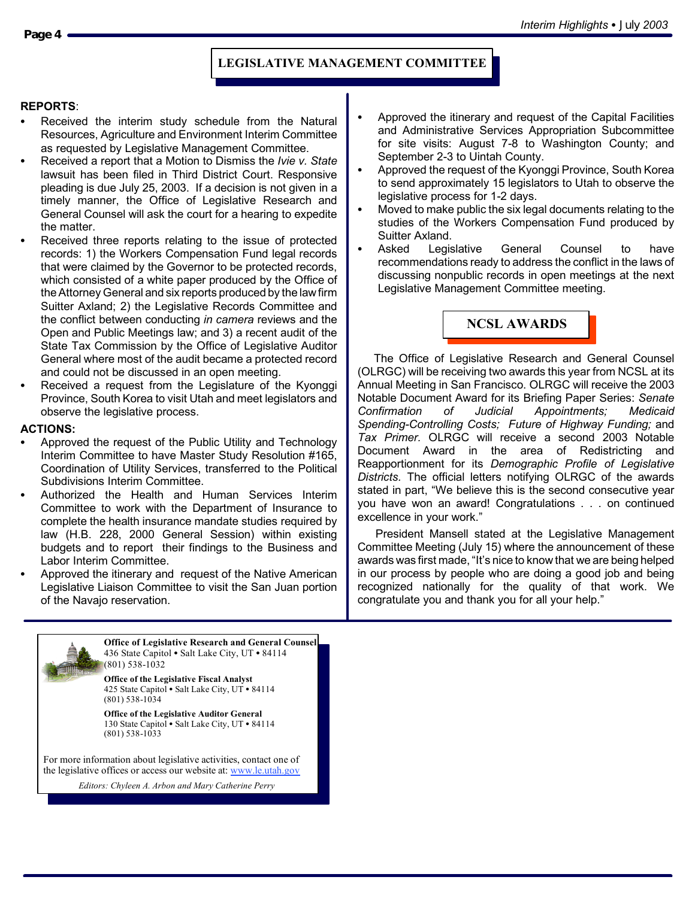## **LEGISLATIVE MANAGEMENT COMMITTEE**

#### **REPORTS**:

- Received the interim study schedule from the Natural Resources, Agriculture and Environment Interim Committee as requested by Legislative Management Committee.
- S Received a report that a Motion to Dismiss the *Ivie v. State* lawsuit has been filed in Third District Court. Responsive pleading is due July 25, 2003. If a decision is not given in a timely manner, the Office of Legislative Research and General Counsel will ask the court for a hearing to expedite the matter.
- Received three reports relating to the issue of protected records: 1) the Workers Compensation Fund legal records that were claimed by the Governor to be protected records, which consisted of a white paper produced by the Office of the Attorney General and six reports produced by the lawfirm Suitter Axland; 2) the Legislative Records Committee and the conflict between conducting *in camera* reviews and the Open and Public Meetings law; and 3) a recent audit of the State Tax Commission by the Office of Legislative Auditor General where most of the audit became a protected record and could not be discussed in an open meeting.
- Received a request from the Legislature of the Kyonggi Province, South Korea to visit Utah and meet legislators and observe the legislative process.

#### **ACTIONS:**

- Approved the request of the Public Utility and Technology Interim Committee to have Master Study Resolution #165, Coordination of Utility Services, transferred to the Political Subdivisions Interim Committee.
- Authorized the Health and Human Services Interim Committee to work with the Department of Insurance to complete the health insurance mandate studies required by law (H.B. 228, 2000 General Session) within existing budgets and to report their findings to the Business and Labor Interim Committee.
- Approved the itinerary and request of the Native American Legislative Liaison Committee to visit the San Juan portion of the Navajo reservation.



*Editors: Chyleen A. Arbon and Mary Catherine Perry*

- Approved the itinerary and request of the Capital Facilities and Administrative Services Appropriation Subcommittee for site visits: August 7-8 to Washington County; and September 2-3 to Uintah County.
- Approved the request of the Kyonggi Province, South Korea to send approximately 15 legislators to Utah to observe the legislative process for 1-2 days.
- Moved to make public the six legal documents relating to the studies of the Workers Compensation Fund produced by Suitter Axland.
- Asked Legislative General Counsel to have recommendations ready to address the conflict in the laws of discussing nonpublic records in open meetings at the next Legislative Management Committee meeting.



The Office of Legislative Research and General Counsel (OLRGC) will be receiving two awards this year from NCSL at its Annual Meeting in San Francisco. OLRGC will receive the 2003 Notable Document Award for its Briefing Paper Series: *Senate Confirmation of Judicial Appointments; Medicaid Spending-Controlling Costs; Future of Highway Funding;* and *Tax Primer.* OLRGC will receive a second 2003 Notable Document Award in the area of Redistricting and Reapportionment for its *Demographic Profile of Legislative Districts.* The official letters notifying OLRGC of the awards stated in part, "We believe this is the second consecutive year you have won an award! Congratulations . . . on continued excellence in your work."

President Mansell stated at the Legislative Management Committee Meeting (July 15) where the announcement of these awards was first made, "It's nice to know that we are being helped in our process by people who are doing a good job and being recognized nationally for the quality of that work. We congratulate you and thank you for all your help."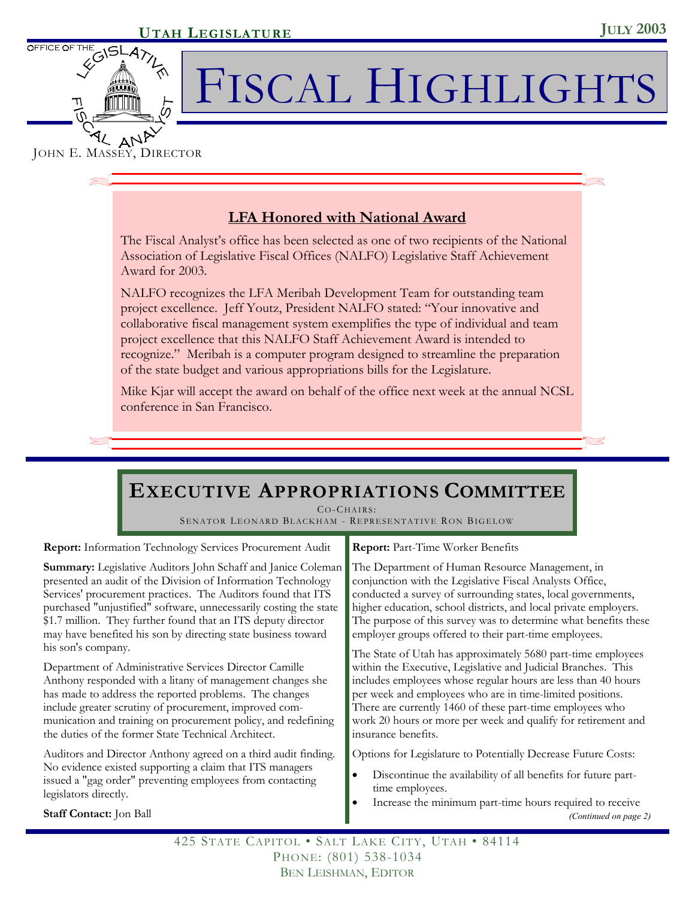

# FISCAL HIGHLIGHTS

## JOHN E. MASSEY, DIRECTOR

## **LFA Honored with National Award**

The Fiscal Analyst's office has been selected as one of two recipients of the National Association of Legislative Fiscal Offices (NALFO) Legislative Staff Achievement Award for 2003.

NALFO recognizes the LFA Meribah Development Team for outstanding team project excellence. Jeff Youtz, President NALFO stated: "Your innovative and collaborative fiscal management system exemplifies the type of individual and team project excellence that this NALFO Staff Achievement Award is intended to recognize." Meribah is a computer program designed to streamline the preparation of the state budget and various appropriations bills for the Legislature.

Mike Kjar will accept the award on behalf of the office next week at the annual NCSL conference in San Francisco.

# **EXECUTIVE APPROPRIATIONS COMMITTEE**

CO-CHAIRS:

SENATOR LEONARD BLACKHAM - REPRESENTATIVE RON BIGELOW

**Report:** Information Technology Services Procurement Audit

**Summary:** Legislative Auditors John Schaff and Janice Coleman presented an audit of the Division of Information Technology Services' procurement practices. The Auditors found that ITS purchased "unjustified" software, unnecessarily costing the state \$1.7 million. They further found that an ITS deputy director may have benefited his son by directing state business toward his son's company.

Department of Administrative Services Director Camille Anthony responded with a litany of management changes she has made to address the reported problems. The changes include greater scrutiny of procurement, improved communication and training on procurement policy, and redefining the duties of the former State Technical Architect.

Auditors and Director Anthony agreed on a third audit finding. No evidence existed supporting a claim that ITS managers issued a "gag order" preventing employees from contacting legislators directly.

**Staff Contact:** Jon Ball

**Report:** Part-Time Worker Benefits

The Department of Human Resource Management, in conjunction with the Legislative Fiscal Analysts Office, conducted a survey of surrounding states, local governments, higher education, school districts, and local private employers. The purpose of this survey was to determine what benefits these employer groups offered to their part-time employees.

The State of Utah has approximately 5680 part-time employees within the Executive, Legislative and Judicial Branches. This includes employees whose regular hours are less than 40 hours per week and employees who are in time-limited positions. There are currently 1460 of these part-time employees who work 20 hours or more per week and qualify for retirement and insurance benefits.

Options for Legislature to Potentially Decrease Future Costs:

- Discontinue the availability of all benefits for future parttime employees.
- Increase the minimum part-time hours required to receive

*(Continued on page 2)* 

425 STATE CAPITOL • SALT LAKE CITY, UTAH • 84114 PHONE: (801) 538-1034 BEN LEISHMAN, EDITOR